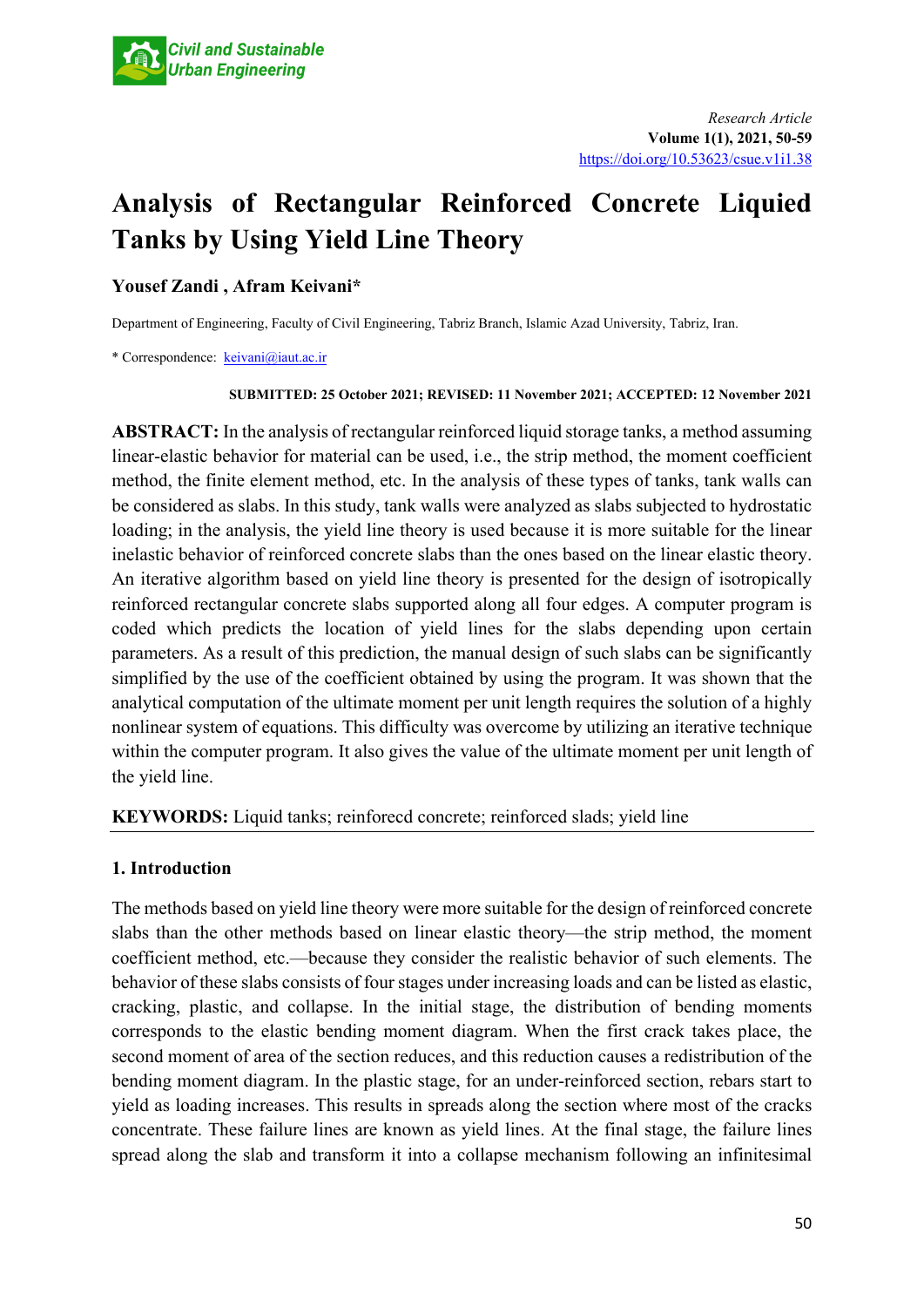# **Analysis of Rectangular Reinforced Concrete Liquied Tanks by Using Yield Line Theory**

# **Yousef Zandi , Afram Keivani\***

Department of Engineering, Faculty of Civil Engineering, Tabriz Branch, Islamic Azad University, Tabriz, Iran.

\* Correspondence: [keivani@iaut.ac.ir](mailto:keivani@iaut.ac.ir)

#### **SUBMITTED: 25 October 2021; REVISED: 11 November 2021; ACCEPTED: 12 November 2021**

**ABSTRACT:** In the analysis of rectangular reinforced liquid storage tanks, a method assuming linear-elastic behavior for material can be used, i.e., the strip method, the moment coefficient method, the finite element method, etc. In the analysis of these types of tanks, tank walls can be considered as slabs. In this study, tank walls were analyzed as slabs subjected to hydrostatic loading; in the analysis, the yield line theory is used because it is more suitable for the linear inelastic behavior of reinforced concrete slabs than the ones based on the linear elastic theory. An iterative algorithm based on yield line theory is presented for the design of isotropically reinforced rectangular concrete slabs supported along all four edges. A computer program is coded which predicts the location of yield lines for the slabs depending upon certain parameters. As a result of this prediction, the manual design of such slabs can be significantly simplified by the use of the coefficient obtained by using the program. It was shown that the analytical computation of the ultimate moment per unit length requires the solution of a highly nonlinear system of equations. This difficulty was overcome by utilizing an iterative technique within the computer program. It also gives the value of the ultimate moment per unit length of the yield line.

# **KEYWORDS:** Liquid tanks; reinforecd concrete; reinforced slads; yield line

# **1. Introduction**

The methods based on yield line theory were more suitable for the design of reinforced concrete slabs than the other methods based on linear elastic theory—the strip method, the moment coefficient method, etc.—because they consider the realistic behavior of such elements. The behavior of these slabs consists of four stages under increasing loads and can be listed as elastic, cracking, plastic, and collapse. In the initial stage, the distribution of bending moments corresponds to the elastic bending moment diagram. When the first crack takes place, the second moment of area of the section reduces, and this reduction causes a redistribution of the bending moment diagram. In the plastic stage, for an under-reinforced section, rebars start to yield as loading increases. This results in spreads along the section where most of the cracks concentrate. These failure lines are known as yield lines. At the final stage, the failure lines spread along the slab and transform it into a collapse mechanism following an infinitesimal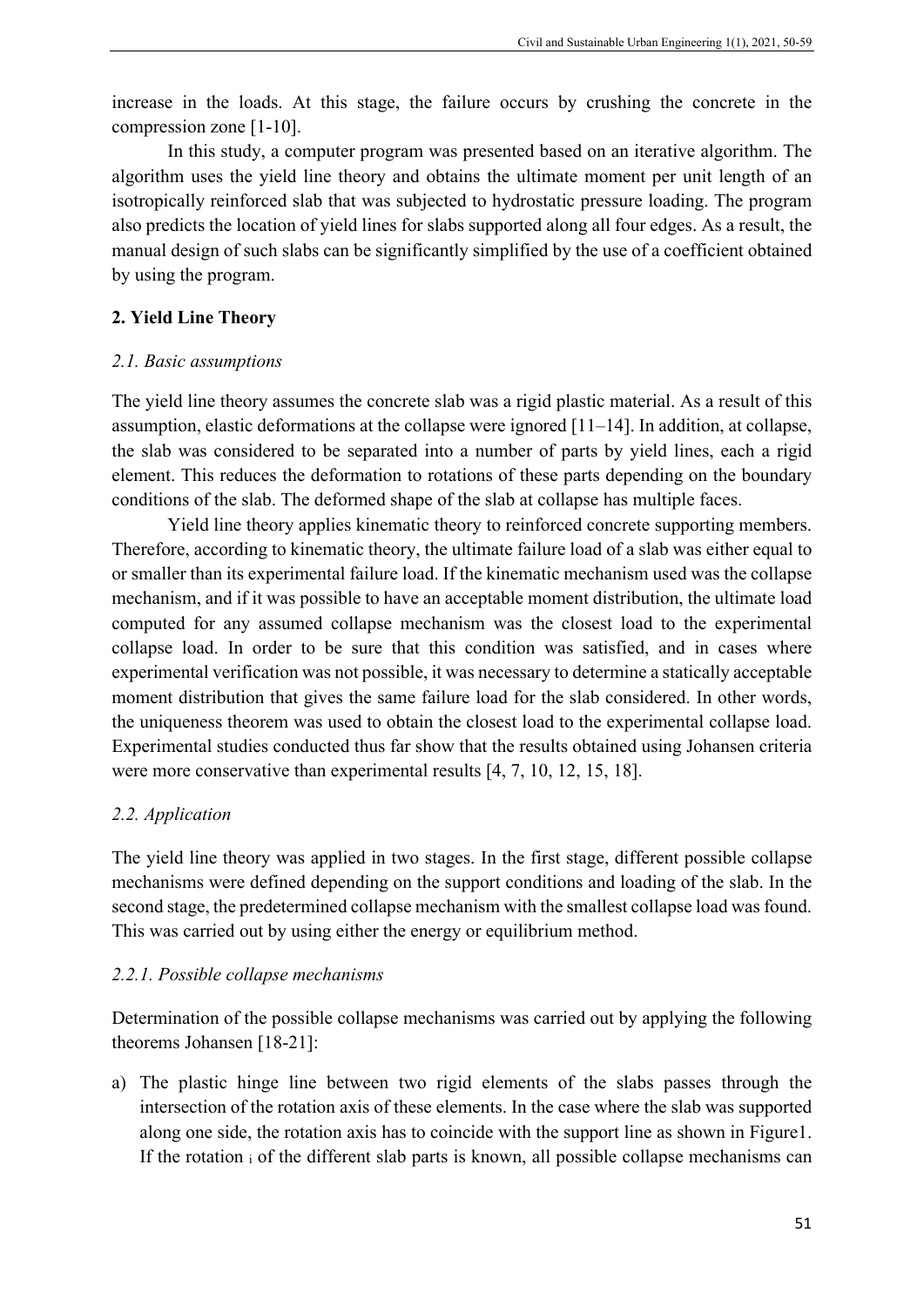increase in the loads. At this stage, the failure occurs by crushing the concrete in the compression zone [1-10].

In this study, a computer program was presented based on an iterative algorithm. The algorithm uses the yield line theory and obtains the ultimate moment per unit length of an isotropically reinforced slab that was subjected to hydrostatic pressure loading. The program also predicts the location of yield lines for slabs supported along all four edges. As a result, the manual design of such slabs can be significantly simplified by the use of a coefficient obtained by using the program.

## **2. Yield Line Theory**

## *2.1. Basic assumptions*

The yield line theory assumes the concrete slab was a rigid plastic material. As a result of this assumption, elastic deformations at the collapse were ignored [11–14]. In addition, at collapse, the slab was considered to be separated into a number of parts by yield lines, each a rigid element. This reduces the deformation to rotations of these parts depending on the boundary conditions of the slab. The deformed shape of the slab at collapse has multiple faces.

Yield line theory applies kinematic theory to reinforced concrete supporting members. Therefore, according to kinematic theory, the ultimate failure load of a slab was either equal to or smaller than its experimental failure load. If the kinematic mechanism used was the collapse mechanism, and if it was possible to have an acceptable moment distribution, the ultimate load computed for any assumed collapse mechanism was the closest load to the experimental collapse load. In order to be sure that this condition was satisfied, and in cases where experimental verification was not possible, it was necessary to determine a statically acceptable moment distribution that gives the same failure load for the slab considered. In other words, the uniqueness theorem was used to obtain the closest load to the experimental collapse load. Experimental studies conducted thus far show that the results obtained using Johansen criteria were more conservative than experimental results [4, 7, 10, 12, 15, 18].

# *2.2. Application*

The yield line theory was applied in two stages. In the first stage, different possible collapse mechanisms were defined depending on the support conditions and loading of the slab. In the second stage, the predetermined collapse mechanism with the smallest collapse load was found. This was carried out by using either the energy or equilibrium method.

# *2.2.1. Possible collapse mechanisms*

Determination of the possible collapse mechanisms was carried out by applying the following theorems Johansen [18-21]:

a) The plastic hinge line between two rigid elements of the slabs passes through the intersection of the rotation axis of these elements. In the case where the slab was supported along one side, the rotation axis has to coincide with the support line as shown in Figure1. If the rotation i of the different slab parts is known, all possible collapse mechanisms can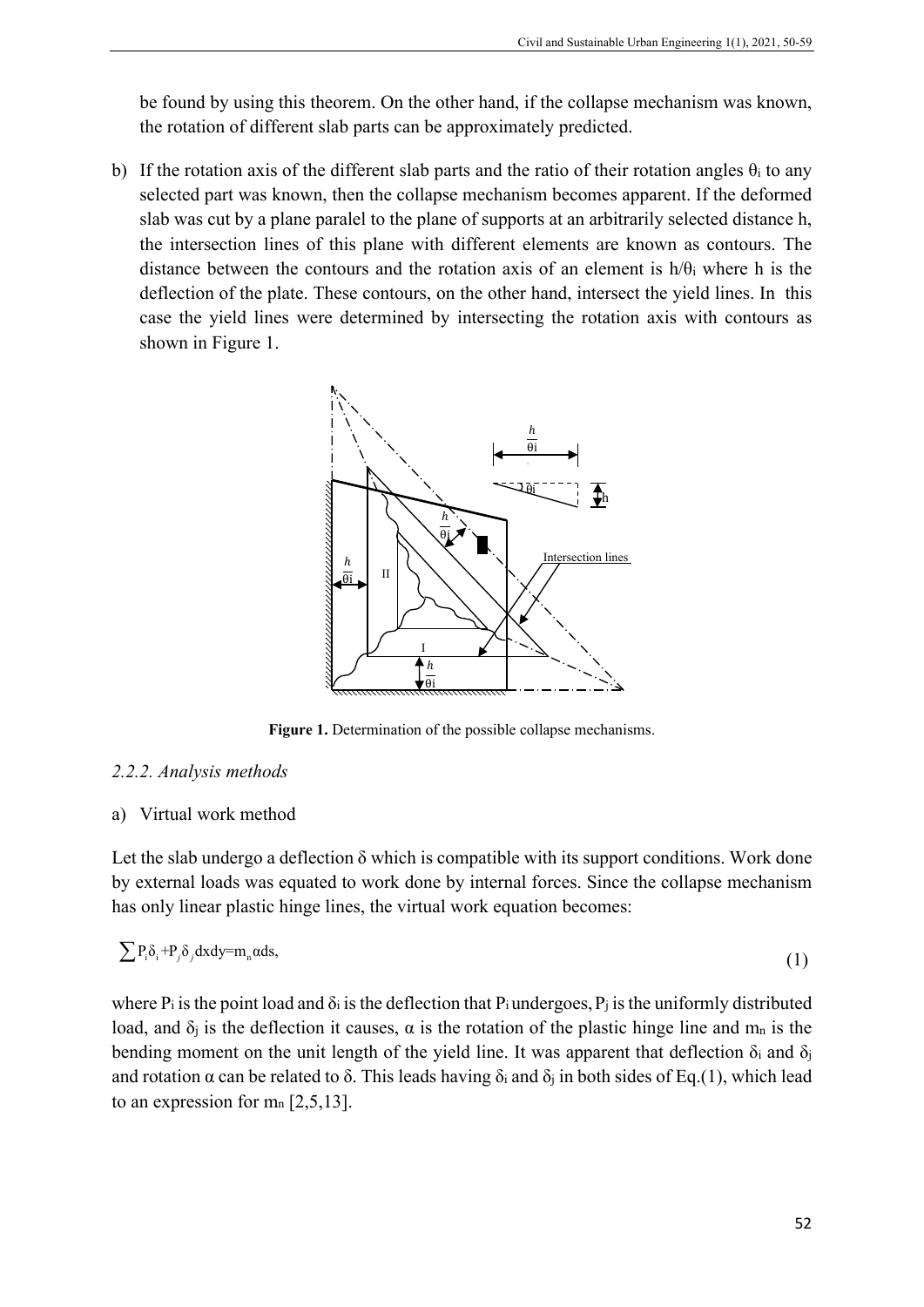be found by using this theorem. On the other hand, if the collapse mechanism was known, the rotation of different slab parts can be approximately predicted.

b) If the rotation axis of the different slab parts and the ratio of their rotation angles  $\theta_i$  to any selected part was known, then the collapse mechanism becomes apparent. If the deformed slab was cut by a plane paralel to the plane of supports at an arbitrarily selected distance h, the intersection lines of this plane with different elements are known as contours. The distance between the contours and the rotation axis of an element is  $h/\theta_i$  where h is the deflection of the plate. These contours, on the other hand, intersect the yield lines. In this case the yield lines were determined by intersecting the rotation axis with contours as shown in Figure 1.



**Figure 1.** Determination of the possible collapse mechanisms.

# *2.2.2. Analysis methods*

#### a) Virtual work method

Let the slab undergo a deflection  $\delta$  which is compatible with its support conditions. Work done by external loads was equated to work done by internal forces. Since the collapse mechanism has only linear plastic hinge lines, the virtual work equation becomes:

$$
\sum P_i \delta_i + P_j \delta_j dx dy = m_n \alpha ds,
$$
\n(1)

where  $P_i$  is the point load and  $\delta_i$  is the deflection that  $P_i$  undergoes,  $P_i$  is the uniformly distributed load, and  $\delta_i$  is the deflection it causes,  $\alpha$  is the rotation of the plastic hinge line and m<sub>n</sub> is the bending moment on the unit length of the yield line. It was apparent that deflection  $\delta_i$  and  $\delta_j$ and rotation  $\alpha$  can be related to  $\delta$ . This leads having  $\delta_i$  and  $\delta_j$  in both sides of Eq.(1), which lead to an expression for  $m_n$  [2,5,13].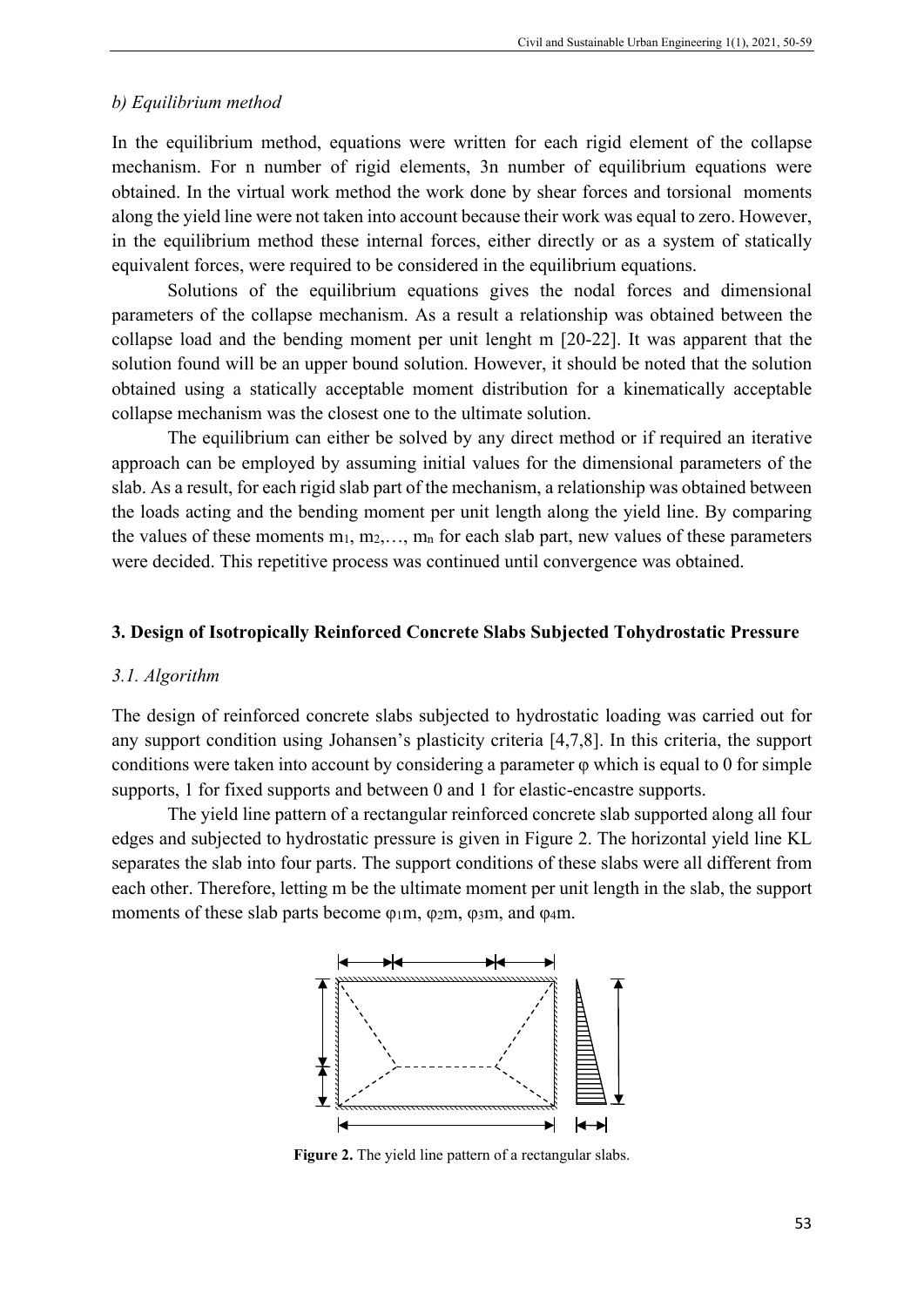## *b) Equilibrium method*

In the equilibrium method, equations were written for each rigid element of the collapse mechanism. For n number of rigid elements, 3n number of equilibrium equations were obtained. In the virtual work method the work done by shear forces and torsional moments along the yield line were not taken into account because their work was equal to zero. However, in the equilibrium method these internal forces, either directly or as a system of statically equivalent forces, were required to be considered in the equilibrium equations.

Solutions of the equilibrium equations gives the nodal forces and dimensional parameters of the collapse mechanism. As a result a relationship was obtained between the collapse load and the bending moment per unit lenght m [20-22]. It was apparent that the solution found will be an upper bound solution. However, it should be noted that the solution obtained using a statically acceptable moment distribution for a kinematically acceptable collapse mechanism was the closest one to the ultimate solution.

The equilibrium can either be solved by any direct method or if required an iterative approach can be employed by assuming initial values for the dimensional parameters of the slab. As a result, for each rigid slab part of the mechanism, a relationship was obtained between the loads acting and the bending moment per unit length along the yield line. By comparing the values of these moments  $m_1, m_2, \ldots, m_n$  for each slab part, new values of these parameters were decided. This repetitive process was continued until convergence was obtained.

#### **3. Design of Isotropically Reinforced Concrete Slabs Subjected Tohydrostatic Pressure**

#### *3.1. Algorithm*

The design of reinforced concrete slabs subjected to hydrostatic loading was carried out for any support condition using Johansen's plasticity criteria [4,7,8]. In this criteria, the support conditions were taken into account by considering a parameter  $\varphi$  which is equal to 0 for simple supports, 1 for fixed supports and between 0 and 1 for elastic-encastre supports.

The yield line pattern of a rectangular reinforced concrete slab supported along all four edges and subjected to hydrostatic pressure is given in Figure 2. The horizontal yield line KL separates the slab into four parts. The support conditions of these slabs were all different from each other. Therefore, letting m be the ultimate moment per unit length in the slab, the support moments of these slab parts become φ1m, φ2m, φ3m, and φ4m.



**Figure 2.** The yield line pattern of a rectangular slabs.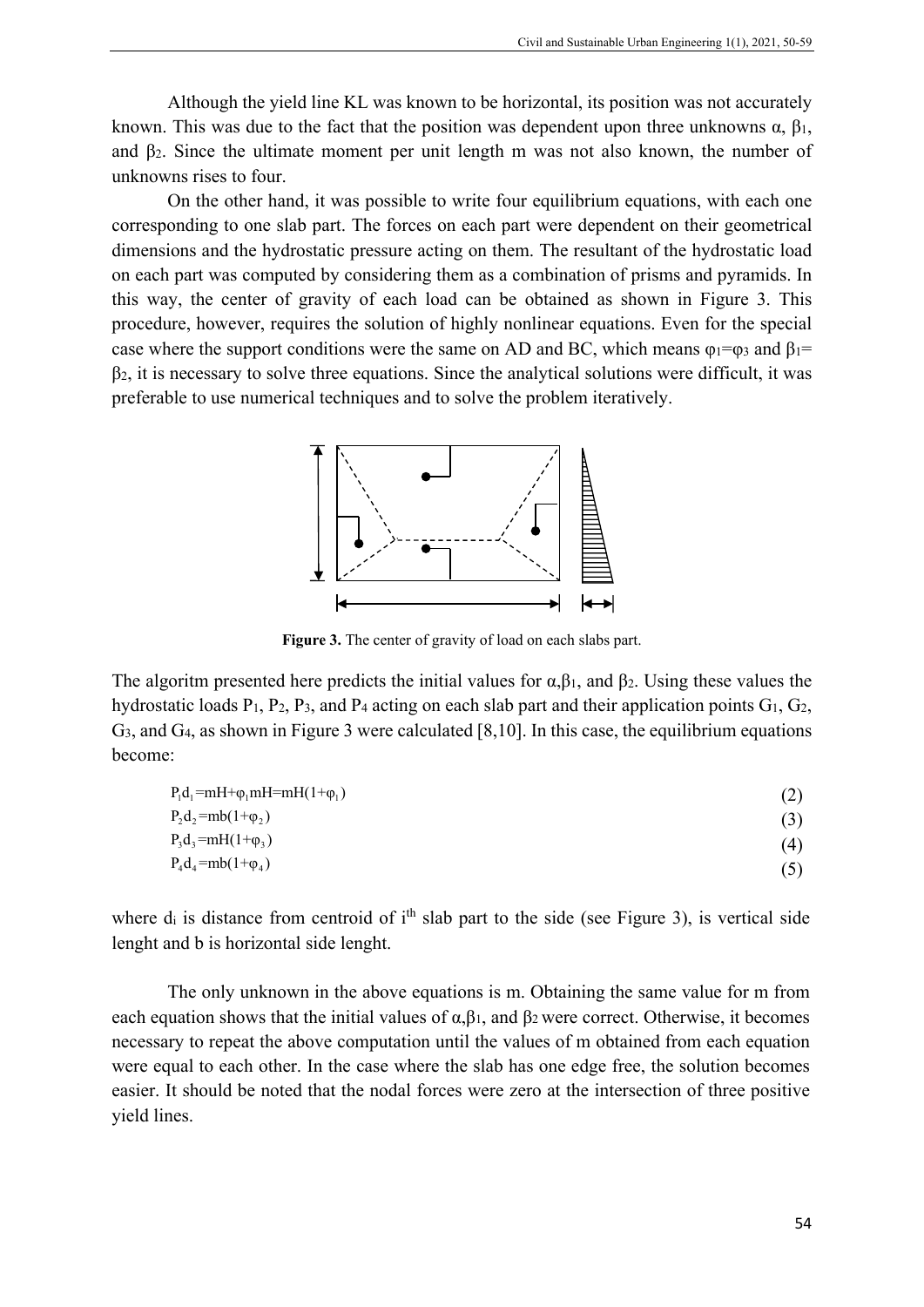Although the yield line KL was known to be horizontal, its position was not accurately known. This was due to the fact that the position was dependent upon three unknowns  $\alpha$ ,  $\beta_1$ , and β2. Since the ultimate moment per unit length m was not also known, the number of unknowns rises to four.

On the other hand, it was possible to write four equilibrium equations, with each one corresponding to one slab part. The forces on each part were dependent on their geometrical dimensions and the hydrostatic pressure acting on them. The resultant of the hydrostatic load on each part was computed by considering them as a combination of prisms and pyramids. In this way, the center of gravity of each load can be obtained as shown in Figure 3. This procedure, however, requires the solution of highly nonlinear equations. Even for the special case where the support conditions were the same on AD and BC, which means  $\varphi_1 = \varphi_3$  and  $\varphi_1 = \varphi_3$  $\beta_2$ , it is necessary to solve three equations. Since the analytical solutions were difficult, it was preferable to use numerical techniques and to solve the problem iteratively.



**Figure 3.** The center of gravity of load on each slabs part.

The algoritm presented here predicts the initial values for  $\alpha, \beta$ <sub>1</sub>, and  $\beta$ <sub>2</sub>. Using these values the hydrostatic loads  $P_1$ ,  $P_2$ ,  $P_3$ , and  $P_4$  acting on each slab part and their application points  $G_1$ ,  $G_2$ , G3, and G4, as shown in Figure 3 were calculated [8,10]. In this case, the equilibrium equations become:

| $P_1d_1=mH+\varphi_1mH=mH(1+\varphi_1)$ |     |
|-----------------------------------------|-----|
| $P_2d_2 = mb(1+\varphi_2)$              | (3) |
| $P_3d_3 = mH(1+\varphi_3)$              | (4) |
| $P_4d_4 = mb(1+\varphi_4)$              |     |

where  $d_i$  is distance from centroid of  $i<sup>th</sup>$  slab part to the side (see Figure 3), is vertical side lenght and b is horizontal side lenght.

The only unknown in the above equations is m. Obtaining the same value for m from each equation shows that the initial values of  $\alpha, \beta_1$ , and  $\beta_2$  were correct. Otherwise, it becomes necessary to repeat the above computation until the values of m obtained from each equation were equal to each other. In the case where the slab has one edge free, the solution becomes easier. It should be noted that the nodal forces were zero at the intersection of three positive yield lines.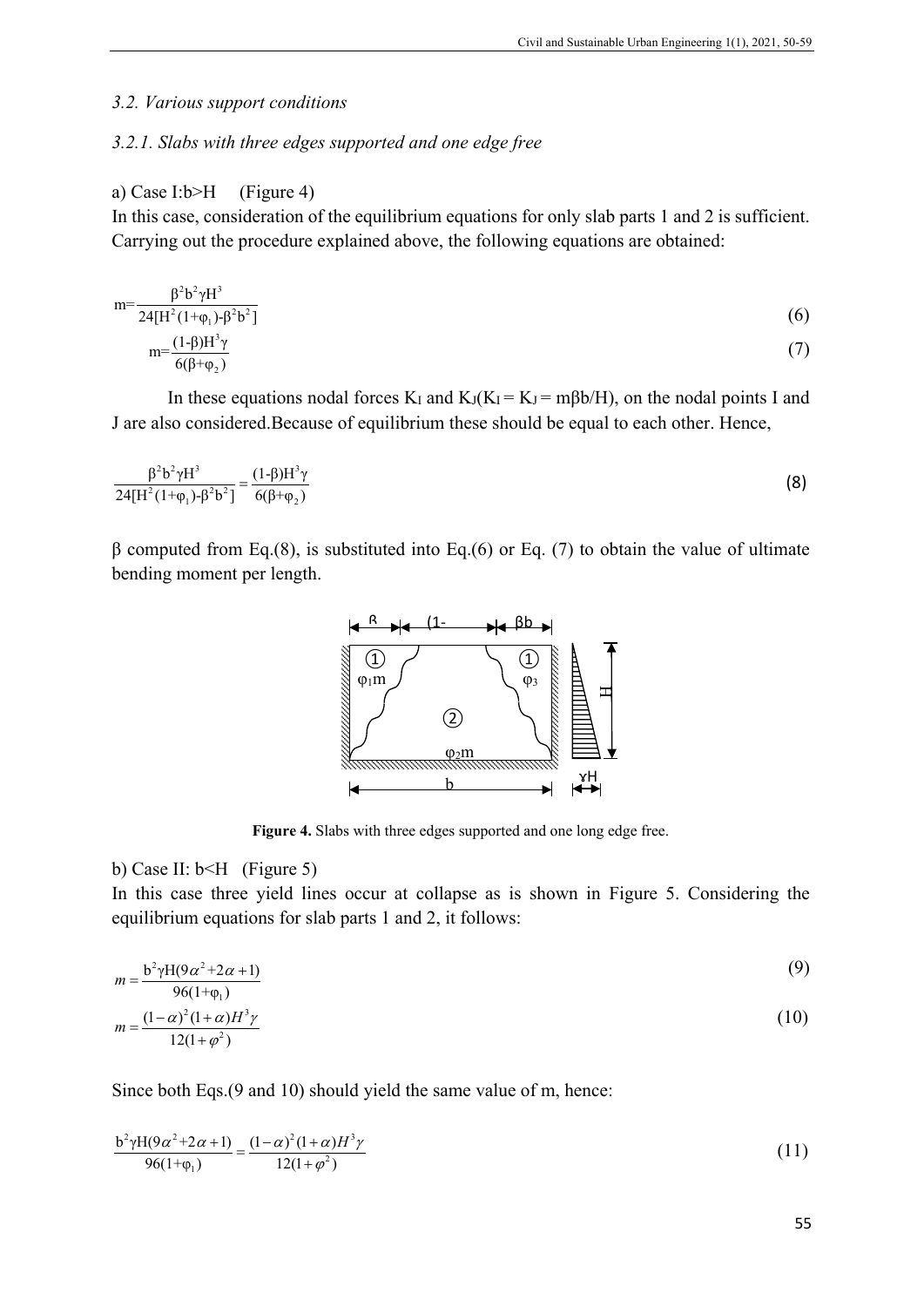#### *3.2. Various support conditions*

## *3.2.1. Slabs with three edges supported and one edge free*

#### a) Case I:b>H (Figure 4)

2

In this case, consideration of the equilibrium equations for only slab parts 1 and 2 is sufficient. Carrying out the procedure explained above, the following equations are obtained:

$$
m = \frac{\beta^{2} b^{2} \gamma H^{3}}{24[H^{2}(1+\varphi_{1})-\beta^{2} b^{2}]}
$$
\n
$$
m = \frac{(1-\beta)H^{3} \gamma}{6(\beta+\varphi_{2})}
$$
\n(7)

In these equations nodal forces K<sub>I</sub> and K<sub>J</sub>(K<sub>I</sub> = K<sub>J</sub> = m $\beta$ b/H), on the nodal points I and J are also considered.Because of equilibrium these should be equal to each other. Hence,

$$
\frac{\beta^2 b^2 \gamma H^3}{24[H^2(1+\varphi_1)-\beta^2 b^2]} = \frac{(1-\beta)H^3 \gamma}{6(\beta+\varphi_2)}
$$
(8)

β computed from Eq.(8), is substituted into Eq.(6) or Eq. (7) to obtain the value of ultimate bending moment per length.



**Figure 4.** Slabs with three edges supported and one long edge free.

## b) Case II: b<H (Figure 5)

In this case three yield lines occur at collapse as is shown in Figure 5. Considering the equilibrium equations for slab parts 1 and 2, it follows:

$$
m = \frac{b^2 \gamma H (9\alpha^2 + 2\alpha + 1)}{2(1 - \alpha)(1 - \alpha)}
$$
(9)

$$
m = \frac{(1 - \alpha)^2 (1 + \alpha) H^3 \gamma}{12(1 + \varphi^2)}
$$
(10)

Since both Eqs.(9 and 10) should yield the same value of m, hence:

$$
\frac{b^2 \gamma H(9\alpha^2 + 2\alpha + 1)}{96(1 + \varphi_1)} = \frac{(1 - \alpha)^2 (1 + \alpha) H^3 \gamma}{12(1 + \varphi^2)}
$$
(11)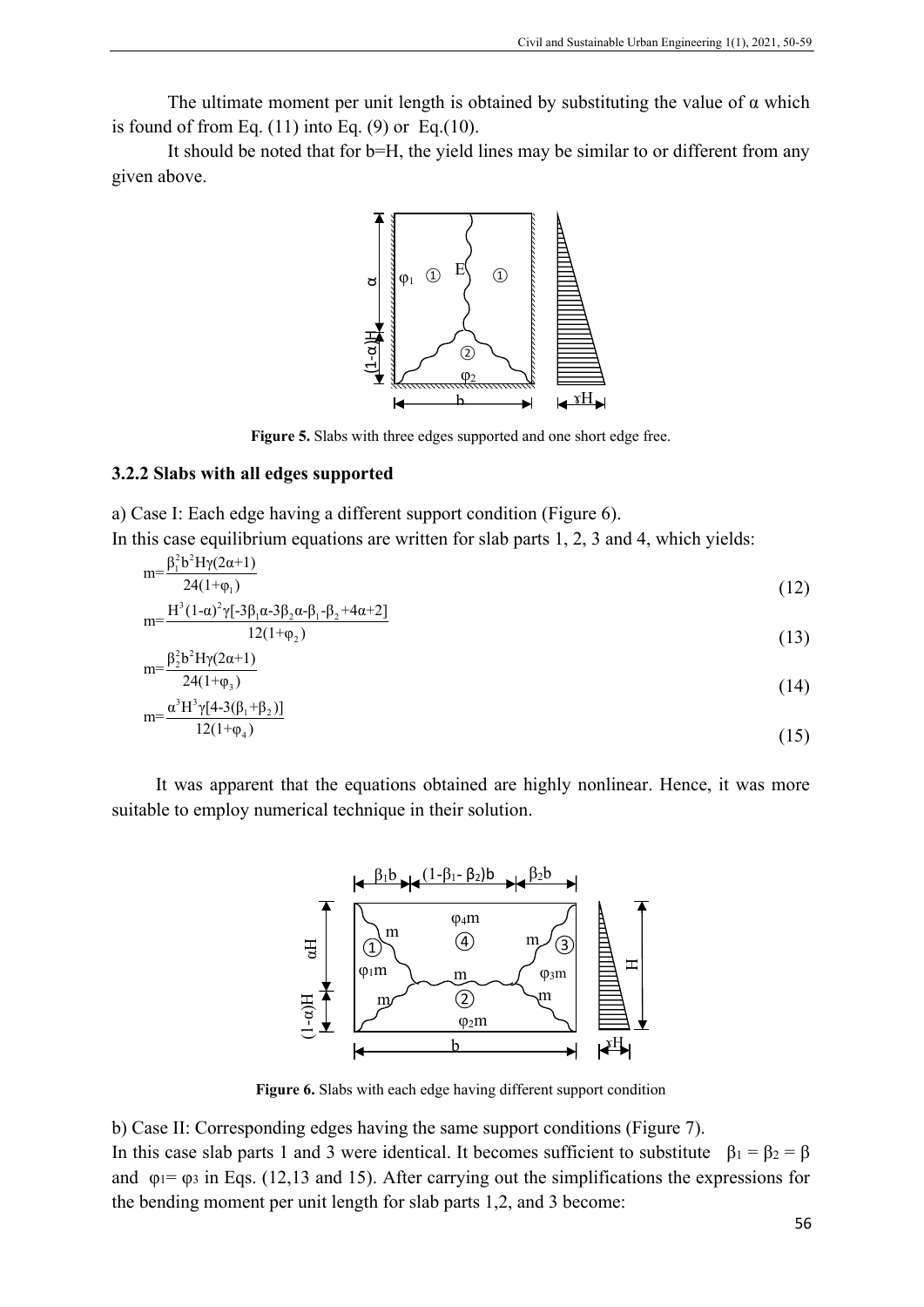The ultimate moment per unit length is obtained by substituting the value of  $\alpha$  which is found of from Eq.  $(11)$  into Eq.  $(9)$  or Eq. $(10)$ .

It should be noted that for b=H, the yield lines may be similar to or different from any given above.



**Figure 5.** Slabs with three edges supported and one short edge free.

## **3.2.2 Slabs with all edges supported**

a) Case I: Each edge having a different support condition (Figure 6).

In this case equilibrium equations are written for slab parts 1, 2, 3 and 4, which yields:  $m = \frac{\beta_1^2 b^2 H \gamma(2\alpha + 1)}{2\alpha + 1}$ 

$$
\frac{24(1+\varphi_1)}{m} = \frac{H^3(1-\alpha)^2\gamma[-3\beta_1\alpha-3\beta_2\alpha-\beta_1-\beta_2+4\alpha+2]}{(12)}
$$

$$
\frac{12(1+\varphi_2)}{(13)}
$$

$$
m = \frac{\beta_2^2 b^2 H y (2\alpha + 1)}{24(1 + \varphi_3)}
$$
\n
$$
c^3 H^3 \omega (4.3(8) + 8.3)
$$
\n(14)

$$
m = \frac{\alpha^3 H^3 \gamma [4 - 3(\beta_1 + \beta_2)]}{12(1 + \varphi_4)} \tag{15}
$$

It was apparent that the equations obtained are highly nonlinear. Hence, it was more suitable to employ numerical technique in their solution.



**Figure 6.** Slabs with each edge having different support condition

b) Case II: Corresponding edges having the same support conditions (Figure 7). In this case slab parts 1 and 3 were identical. It becomes sufficient to substitute  $\beta_1 = \beta_2 = \beta$ 

and  $\varphi_1 = \varphi_3$  in Eqs. (12,13 and 15). After carrying out the simplifications the expressions for the bending moment per unit length for slab parts 1,2, and 3 become: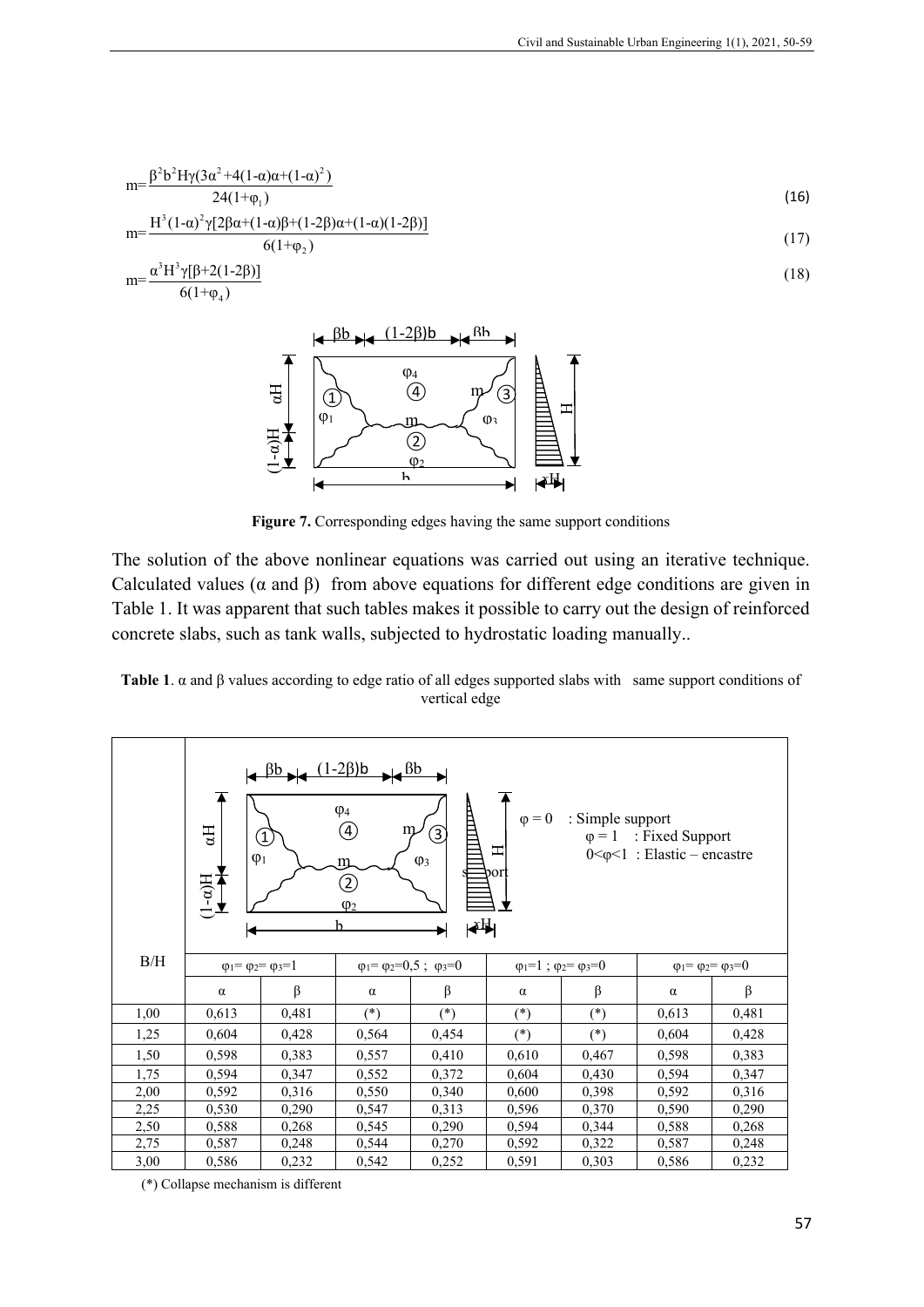$$
m = \frac{\beta^2 b^2 H \gamma (3\alpha^2 + 4(1-\alpha)\alpha + (1-\alpha)^2)}{24(1+\varphi_1)}
$$
\n
$$
H^3 (1-\alpha)^2 \gamma^2 (28\alpha + (1-\alpha)8 + (1-\alpha)9 + (1-\alpha)9 + (1-\alpha)9 + (1-\alpha)9 + (1-\alpha)9 + (1-\alpha)9 + (1-\alpha)9 + (1-\alpha)9 + (1-\alpha)9 + (1-\alpha)9 + (1-\alpha)9 + (1-\alpha)9 + (1-\alpha)9 + (1-\alpha)9 + (1-\alpha)9 + (1-\alpha)9 + (1-\alpha)9 + (1-\alpha)9 + (1-\alpha)9 + (1-\alpha)9 + (1-\alpha)9 + (1-\alpha)9 + (1-\alpha)9 + (1-\alpha)9 + (1-\alpha)9 + (1-\alpha)9 + (1-\alpha)9 + (1-\alpha)9 + (1-\alpha)9 + (1-\alpha)9 + (1-\alpha)9 + (1-\alpha)9 + (1-\alpha)9 + (1-\alpha)9 + (1-\alpha)9 + (1-\alpha)9 + (1-\alpha)9 + (1-\alpha)9 + (1-\alpha)9 + (1-\alpha)9 + (1-\alpha)9 + (1-\alpha)9 + (1-\alpha)9 + (1-\alpha)9 + (1-\alpha)9 + (1-\alpha)9 + (1-\alpha)9 + (1-\alpha)9 + (1-\alpha)9 + (1-\alpha)9 + (1-\alpha)9 + (1-\alpha)9 + (1-\alpha)9 + (1-\alpha)9 + (1-\alpha)9 + (1-\alpha)9 + (1-\alpha)9 + (1-\alpha)9 + (1-\alpha)9 + (1-\alpha)9 + (1-\alpha)9 + (1-\alpha)9 + (1-\alpha)9 + (1-\alpha)9 + (1-\alpha)9 + (1-\alpha)9 + (1-\alpha)9 + (1-\alpha)9 + (1-\alpha)9 + (1-\alpha)9 + (1-\alpha)9 + (1-\alpha)9 + (1-\alpha)9 + (1-\alpha)9 + (1-\alpha)9 + (1-\alpha)9 + (1-\alpha)9 + (1-\alpha)9 + (1-\alpha)9 + (1-\alpha)9 + (1-\alpha)9 + (1-\alpha)9 + (1-\alpha)9 + (1-\alpha)9 + (1-\alpha)9 + (1-\alpha)9 + (1-\alpha)9 + (1-\alpha)9 + (1-\alpha)9 + (1-\alpha)9 + (1-\alpha)9 + (1-\alpha)9 + (1-\alpha)9 + (1-\alpha)9 + (1-\alpha)9 + (1-\alpha)9 + (1-\alpha
$$

$$
m = \frac{H^3 (1-\alpha)^2 \gamma [2\beta \alpha + (1-\alpha)\beta + (1-2\beta)\alpha + (1-\alpha)(1-2\beta)]}{6(1+\varphi_2)}
$$
\n
$$
(17)
$$

$$
m = \frac{\alpha^3 H^3 \gamma [\beta + 2(1-2\beta)]}{6(1+\varphi_4)}
$$
\n(18)



**Figure 7.** Corresponding edges having the same support conditions

The solution of the above nonlinear equations was carried out using an iterative technique. Calculated values ( $\alpha$  and  $\beta$ ) from above equations for different edge conditions are given in Table 1. It was apparent that such tables makes it possible to carry out the design of reinforced concrete slabs, such as tank walls, subjected to hydrostatic loading manually..

**Table 1**. α and β values according to edge ratio of all edges supported slabs with same support conditions of vertical edge

|      | $\left \right. \left( \frac{\beta b}{\beta} \right) \left  \right. \left( \frac{(1-2\beta)b}{\beta} \right $<br>$H^{bb}$<br>A<br>H<br>$\varphi_4$<br>: Simple support<br>$\varphi = 0$<br>$\bigcirc$<br>H<br>m<br>3<br>$\begin{pmatrix} 1 \end{pmatrix}$<br>: Fixed Support<br>$\varphi = 1$<br>Ξ<br>$0<\varphi<1$ : Elastic – encastre<br>$\varphi_1$<br>$\varphi_3$<br>m.<br>port<br>$\lim_{\mathbf{H}(\mathbf{v-1})}$<br>$\mathfrak{D}% _{T}=\mathfrak{D}_{T}\!\left( a,b\right) ,\ \mathfrak{D}_{T}=C_{T}\!\left( a,b\right) ,$<br>$\varphi_2$<br>∣≹∰∣<br>h |       |                                                  |       |                                         |         |                                         |       |  |
|------|-----------------------------------------------------------------------------------------------------------------------------------------------------------------------------------------------------------------------------------------------------------------------------------------------------------------------------------------------------------------------------------------------------------------------------------------------------------------------------------------------------------------------------------------------------------------|-------|--------------------------------------------------|-------|-----------------------------------------|---------|-----------------------------------------|-------|--|
| B/H  | $\varphi_1 = \varphi_2 = \varphi_3 = 1$                                                                                                                                                                                                                                                                                                                                                                                                                                                                                                                         |       | $\varphi_1 = \varphi_2 = 0, 5$ ; $\varphi_3 = 0$ |       | $\varphi_1=1$ ; $\varphi_2=\varphi_3=0$ |         | $\varphi_1 = \varphi_2 = \varphi_3 = 0$ |       |  |
|      | $\alpha$                                                                                                                                                                                                                                                                                                                                                                                                                                                                                                                                                        | β     | $\alpha$                                         | β     | $\alpha$                                | $\beta$ | $\alpha$                                | β     |  |
| 1,00 | 0,613                                                                                                                                                                                                                                                                                                                                                                                                                                                                                                                                                           | 0,481 | $(*)$                                            | $(*)$ | $(*)$                                   | $(*)$   | 0,613                                   | 0,481 |  |
| 1,25 | 0,604                                                                                                                                                                                                                                                                                                                                                                                                                                                                                                                                                           | 0,428 | 0,564                                            | 0,454 | $(*)$                                   | $(*)$   | 0,604                                   | 0,428 |  |
| 1,50 | 0,598                                                                                                                                                                                                                                                                                                                                                                                                                                                                                                                                                           | 0,383 | 0,557                                            | 0,410 | 0,610                                   | 0,467   | 0,598                                   | 0,383 |  |
| 1,75 | 0,594                                                                                                                                                                                                                                                                                                                                                                                                                                                                                                                                                           | 0,347 | 0,552                                            | 0,372 | 0,604                                   | 0,430   | 0,594                                   | 0,347 |  |
| 2,00 | 0,592                                                                                                                                                                                                                                                                                                                                                                                                                                                                                                                                                           | 0,316 | 0,550                                            | 0,340 | 0,600                                   | 0,398   | 0,592                                   | 0,316 |  |
| 2,25 | 0,530                                                                                                                                                                                                                                                                                                                                                                                                                                                                                                                                                           | 0,290 | 0,547                                            | 0,313 | 0,596                                   | 0,370   | 0,590                                   | 0,290 |  |
| 2,50 | 0,588                                                                                                                                                                                                                                                                                                                                                                                                                                                                                                                                                           | 0,268 | 0,545                                            | 0,290 | 0,594                                   | 0,344   | 0,588                                   | 0,268 |  |
| 2,75 | 0,587                                                                                                                                                                                                                                                                                                                                                                                                                                                                                                                                                           | 0,248 | 0,544                                            | 0,270 | 0,592                                   | 0,322   | 0,587                                   | 0,248 |  |
| 3,00 | 0,586                                                                                                                                                                                                                                                                                                                                                                                                                                                                                                                                                           | 0,232 | 0,542                                            | 0,252 | 0,591                                   | 0,303   | 0,586                                   | 0,232 |  |

(\*) Collapse mechanism is different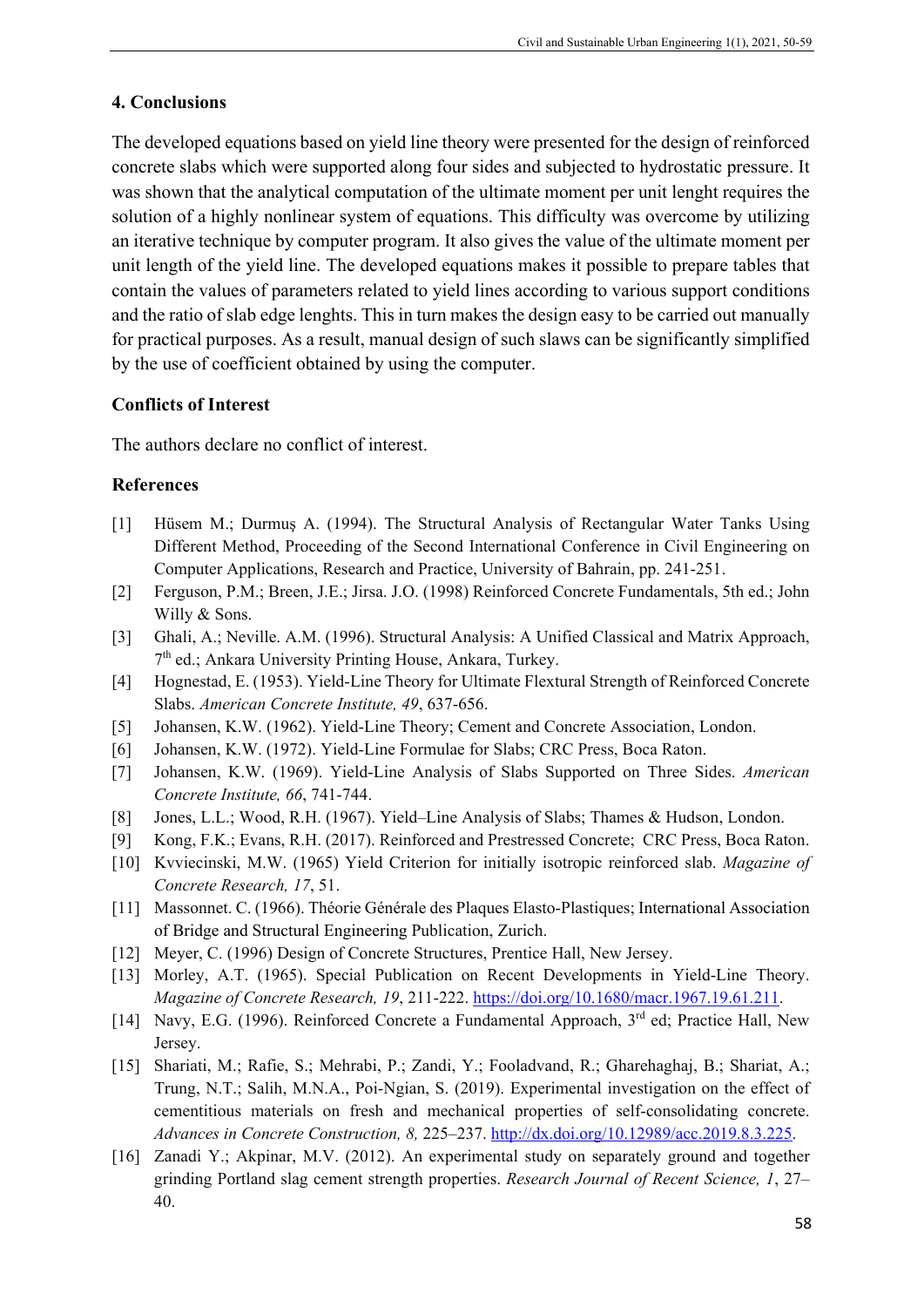# **4. Conclusions**

The developed equations based on yield line theory were presented for the design of reinforced concrete slabs which were supported along four sides and subjected to hydrostatic pressure. It was shown that the analytical computation of the ultimate moment per unit lenght requires the solution of a highly nonlinear system of equations. This difficulty was overcome by utilizing an iterative technique by computer program. It also gives the value of the ultimate moment per unit length of the yield line. The developed equations makes it possible to prepare tables that contain the values of parameters related to yield lines according to various support conditions and the ratio of slab edge lenghts. This in turn makes the design easy to be carried out manually for practical purposes. As a result, manual design of such slaws can be significantly simplified by the use of coefficient obtained by using the computer.

# **Conflicts of Interest**

The authors declare no conflict of interest.

# **References**

- [1] Hüsem M.; Durmuş A. (1994). The Structural Analysis of Rectangular Water Tanks Using Different Method, Proceeding of the Second International Conference in Civil Engineering on Computer Applications, Research and Practice, University of Bahrain, pp. 241-251.
- [2] [Ferguson,](http://www.amazon.com/s/ref=ntt_athr_dp_sr_1?_encoding=UTF8&sort=relevancerank&search-alias=books&ie=UTF8&field-author=P.M.%20Ferguson) P.M.; [Breen,](http://www.amazon.com/s/ref=ntt_athr_dp_sr_2?_encoding=UTF8&sort=relevancerank&search-alias=books&ie=UTF8&field-author=J.E.%20Breen) J.E.; [Jirsa.](http://www.amazon.com/s/ref=ntt_athr_dp_sr_3?_encoding=UTF8&sort=relevancerank&search-alias=books&ie=UTF8&field-author=J.O.%20Jirsa) J.O. (1998) Reinforced Concrete Fundamentals, 5th ed.; John Willy & Sons.
- [3] Ghali, A.; Neville. A.M. (1996). Structural Analysis: A Unified Classical and Matrix Approach,  $7<sup>th</sup>$  ed.; Ankara University Printing House, Ankara, Turkey.
- [4] Hognestad, E. (1953). Yield-Line Theory for Ultimate Flextural Strength of Reinforced Concrete Slabs. *American Concrete Institute, 49*, 637-656.
- [5] Johansen, K.W. (1962). Yield-Line Theory; Cement and Concrete Association, London.
- [6] Johansen, K.W. (1972). Yield-Line Formulae for Slabs; CRC Press, Boca Raton.
- [7] Johansen, K.W. (1969). Yield-Line Analysis of Slabs Supported on Three Sides. *American Concrete Institute, 66*, 741-744.
- [8] Jones, L.L.; Wood, R.H. (1967). Yield–Line Analysis of Slabs; Thames & Hudson, London.
- [9] Kong, F.K.; Evans, R.H. (2017). Reinforced and Prestressed Concrete; CRC Press, Boca Raton.
- [10] Kvviecinski, M.W. (1965) Yield Criterion for initially isotropic reinforced slab. *Magazine of Concrete Research, 17*, 51.
- [11] Massonnet. C. (1966). Théorie Générale des Plaques Elasto-Plastiques; International Association of Bridge and Structural Engineering Publication, Zurich.
- [12] Meyer, C. (1996) Design of Concrete Structures, Prentice Hall, New Jersey.
- [13] Morley, A.T. (1965). Special Publication on Recent Developments in Yield-Line Theory. *Magazine of Concrete Research, 19*, 211-222. [https://doi.org/10.1680/macr.1967.19.61.211.](https://doi.org/10.1680/macr.1967.19.61.211)
- [14] Navy, E.G. (1996). Reinforced Concrete a Fundamental Approach, 3<sup>rd</sup> ed; Practice Hall, New Jersey.
- [15] Shariati, M.; Rafie, S.; Mehrabi, P.; Zandi, Y.; Fooladvand, R.; Gharehaghaj, B.; Shariat, A.; Trung, N.T.; Salih, M.N.A., Poi-Ngian, S. (2019). [Experimental investigation on the effect of](https://www.dbpia.co.kr/Journal/articleDetail?nodeId=NODE10235913)  [cementitious materials on fresh and mechanical properties of self-consolidating concrete.](https://www.dbpia.co.kr/Journal/articleDetail?nodeId=NODE10235913) *Advances in Concrete Construction, 8,* 225–237. [http://dx.doi.org/10.12989/acc.2019.8.3.225.](http://dx.doi.org/10.12989/acc.2019.8.3.225)
- [16] Zanadi Y.; Akpinar, M.V. (2012). An experimental study on separately ground and together grinding Portland slag cement strength properties. *Research Journal of Recent Science, 1*, 27‒ 40.